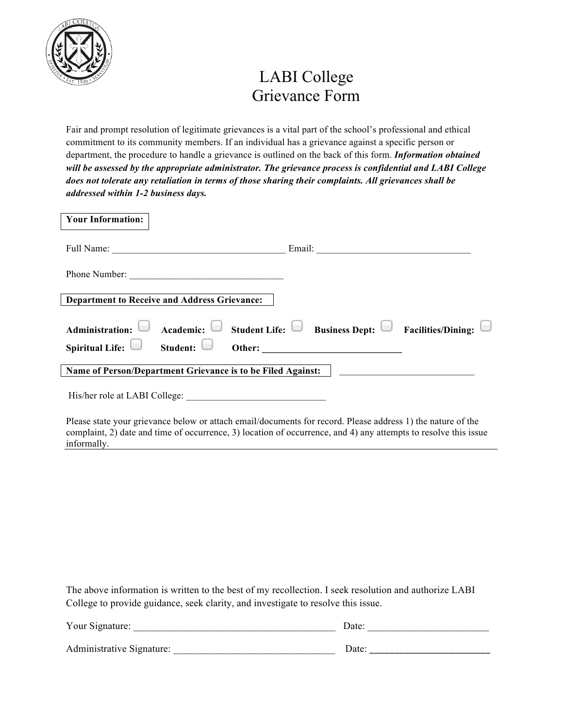

## LABI College Grievance Form

Fair and prompt resolution of legitimate grievances is a vital part of the school's professional and ethical commitment to its community members. If an individual has a grievance against a specific person or department, the procedure to handle a grievance is outlined on the back of this form. *Information obtained will be assessed by the appropriate administrator. The grievance process is confidential and LABI College does not tolerate any retaliation in terms of those sharing their complaints. All grievances shall be addressed within 1-2 business days.*

| <b>Your Information:</b>                                                         |                                                                      |
|----------------------------------------------------------------------------------|----------------------------------------------------------------------|
|                                                                                  |                                                                      |
| Phone Number:                                                                    |                                                                      |
| <b>Department to Receive and Address Grievance:</b>                              |                                                                      |
| Academic:<br><b>Administration:</b>                                              | $\Box$ Student Life: $\Box$ Business Dept: $\Box$ Facilities/Dining: |
| Spiritual Life: $\Box$ Student:                                                  | Other:                                                               |
| Name of Person/Department Grievance is to be Filed Against:   __________________ |                                                                      |
| His/her role at LABI College:                                                    |                                                                      |

Please state your grievance below or attach email/documents for record. Please address 1) the nature of the complaint, 2) date and time of occurrence, 3) location of occurrence, and 4) any attempts to resolve this issue informally.

The above information is written to the best of my recollection. I seek resolution and authorize LABI College to provide guidance, seek clarity, and investigate to resolve this issue.

| Your Signature:           | Date: |  |
|---------------------------|-------|--|
| Administrative Signature: | Date: |  |